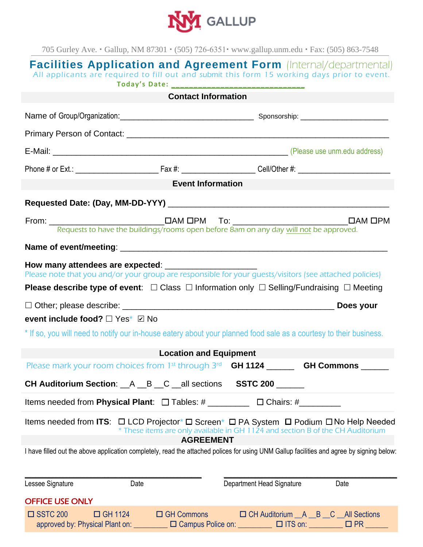

705 Gurley Ave. Gallup, NM 87301 (505) 726-6351 www.gallup.unm.edu Fax: (505) 863-7548

□ SSTC 200 □ GH 1124 □ GH Commons □ CH Auditorium \_A \_B \_C \_All Sections approved by: Physical Plant on: \_\_\_\_\_\_\_\_\_  $\Box$  Campus Police on: \_\_\_\_\_\_\_\_  $\Box$  ITS on: \_\_\_\_\_\_\_\_  $\Box$  PR \_\_\_\_\_\_ **Facilities Application and Agreement Form** (Internal/departmental) All applicants are required to fill out and submit this form 15 working days prior to event. **Today's Date: \_\_\_\_\_\_\_\_\_\_\_\_\_\_\_\_\_\_\_\_\_\_\_\_\_\_\_\_\_\_** OFFICE USE ONLY **Contact Information** Name of Group/Organization: example and the sponsorship: example and sponsorship:  $\sim$  Sponsorship:  $\sim$ Primary Person of Contact: **Example 2018** E-Mail: \_\_\_\_\_\_\_\_\_\_\_\_\_\_\_\_\_\_\_\_\_\_\_\_\_\_\_\_\_\_\_\_\_\_\_\_\_\_\_\_\_\_\_\_\_\_\_\_\_\_\_ (Please use unm.edu address) Phone # or Ext.:  $\qquad \qquad$  Fax #:  $\qquad \qquad$  Cell/Other #: **Event Information Requested Date: (Day, MM-DD-YYY)** \_\_\_\_\_\_\_\_\_\_\_\_\_\_\_\_\_\_\_\_\_\_\_\_\_\_\_\_\_\_\_\_\_\_\_\_\_\_\_\_\_\_\_\_\_\_\_\_ From: \_\_\_\_\_\_\_\_\_\_\_\_\_\_\_\_\_\_\_\_\_\_\_\_\_AM PM To: \_\_\_\_\_\_\_\_\_\_\_\_\_\_\_\_\_\_\_\_\_\_\_\_\_AM PM Requests to have the buildings/rooms open before 8am on any day will not be approved. **Name of event/meeting:**  $\blacksquare$ **How many attendees are expected**: \_\_\_\_\_\_\_\_\_\_\_\_\_\_\_\_\_\_\_\_ Please note that you and/or your group are responsible for your guests/visitors (see attached policies) **Please describe type of event:**  $\Box$  Class  $\Box$  Information only  $\Box$  Selling/Fundraising  $\Box$  Meeting □ Other; please describe: **example and the set of the set of the set of the set of the set of the set of the set of the set of the set of the set of the set of the set of the set of the set of the set of the set of the se event include food?** □ Yes\* ☑ No \* If so, you will need to notify our in-house eatery about your planned food sale as a courtesy to their business. **Location and Equipment**  Please mark your room choices from 1<sup>st</sup> through 3<sup>rd</sup> **GH 1124** \_\_\_\_\_\_ **GH Commons** \_\_\_\_\_ **CH Auditorium Section**: \_\_A \_\_B \_\_C \_\_all sections **SSTC 200** \_\_\_\_\_\_ Items needed from **Physical Plant**: □ Tables: # \_\_\_\_ Ochairs: # Items needed from ITS: □ LCD Projector<sup>\*</sup> □ Screen<sup>\*</sup> □ PA System □ Podium □ No Help Needed \* These items are only available in GH 1124 and section B of the CH Auditorium **AGREEMENT** I have filled out the above application completely, read the attached polices for using UNM Gallup facilities and agree by signing below: \_\_\_\_\_\_\_\_\_\_\_\_\_\_\_\_\_\_\_\_\_\_\_\_\_\_\_\_\_\_\_\_\_\_\_\_\_\_\_\_\_\_\_\_\_\_\_\_\_\_\_ \_\_\_\_\_\_\_\_\_\_\_\_\_\_\_\_\_\_\_\_\_\_\_\_\_\_\_\_\_\_\_\_\_\_\_\_\_\_\_\_\_\_\_\_\_\_\_\_\_\_ Lessee Signature **Date** Date Date Department Head Signature Date